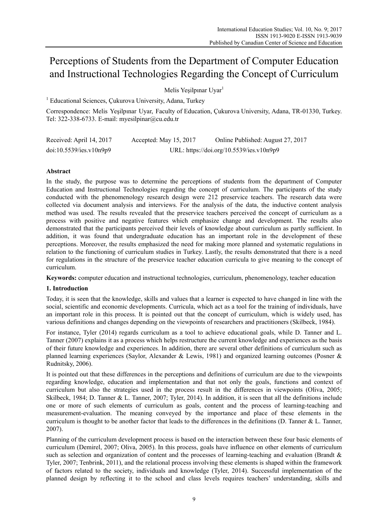# Perceptions of Students from the Department of Computer Education and Instructional Technologies Regarding the Concept of Curriculum

Melis Yeşilpınar Uyar<sup>1</sup>

<sup>1</sup> Educational Sciences, Çukurova University, Adana, Turkey

Correspondence: Melis Yeşilpınar Uyar, Faculty of Education, Çukurova University, Adana, TR-01330, Turkey. Tel: 322-338-6733. E-mail: myesilpinar@cu.edu.tr

| Received: April 14, 2017 | Accepted: May $15, 2017$ | Online Published: August 27, 2017        |
|--------------------------|--------------------------|------------------------------------------|
| doi:10.5539/ies.v10n9p9  |                          | URL: https://doi.org/10.5539/ies.v10n9p9 |

# **Abstract**

In the study, the purpose was to determine the perceptions of students from the department of Computer Education and Instructional Technologies regarding the concept of curriculum. The participants of the study conducted with the phenomenology research design were 212 preservice teachers. The research data were collected via document analysis and interviews. For the analysis of the data, the inductive content analysis method was used. The results revealed that the preservice teachers perceived the concept of curriculum as a process with positive and negative features which emphasize change and development. The results also demonstrated that the participants perceived their levels of knowledge about curriculum as partly sufficient. In addition, it was found that undergraduate education has an important role in the development of these perceptions. Moreover, the results emphasized the need for making more planned and systematic regulations in relation to the functioning of curriculum studies in Turkey. Lastly, the results demonstrated that there is a need for regulations in the structure of the preservice teacher education curricula to give meaning to the concept of curriculum.

**Keywords:** computer education and instructional technologies, curriculum, phenomenology, teacher education

# **1. Introduction**

Today, it is seen that the knowledge, skills and values that a learner is expected to have changed in line with the social, scientific and economic developments. Curricula, which act as a tool for the training of individuals, have an important role in this process. It is pointed out that the concept of curriculum, which is widely used, has various definitions and changes depending on the viewpoints of researchers and practitioners (Skilbeck, 1984).

For instance, Tyler (2014) regards curriculum as a tool to achieve educational goals, while D. Tanner and L. Tanner (2007) explains it as a process which helps restructure the current knowledge and experiences as the basis of their future knowledge and experiences. In addition, there are several other definitions of curriculum such as planned learning experiences (Saylor, Alexander & Lewis, 1981) and organized learning outcomes (Posner & Rudnitsky, 2006).

It is pointed out that these differences in the perceptions and definitions of curriculum are due to the viewpoints regarding knowledge, education and implementation and that not only the goals, functions and context of curriculum but also the strategies used in the process result in the differences in viewpoints (Oliva, 2005; Skilbeck, 1984; D. Tanner & L. Tanner, 2007; Tyler, 2014). In addition, it is seen that all the definitions include one or more of such elements of curriculum as goals, content and the process of learning-teaching and measurement-evaluation. The meaning conveyed by the importance and place of these elements in the curriculum is thought to be another factor that leads to the differences in the definitions (D. Tanner & L. Tanner, 2007).

Planning of the curriculum development process is based on the interaction between these four basic elements of curriculum (Demirel, 2007; Oliva, 2005). In this process, goals have influence on other elements of curriculum such as selection and organization of content and the processes of learning-teaching and evaluation (Brandt & Tyler, 2007; Tenbrink, 2011), and the relational process involving these elements is shaped within the framework of factors related to the society, individuals and knowledge (Tyler, 2014). Successful implementation of the planned design by reflecting it to the school and class levels requires teachers' understanding, skills and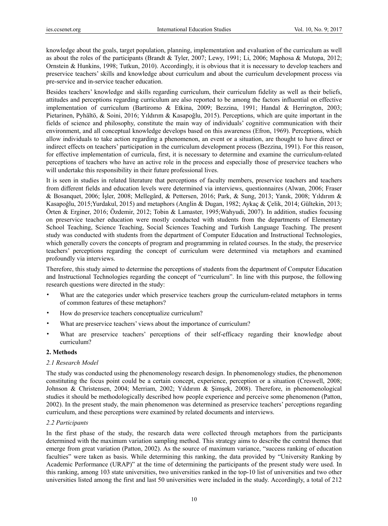knowledge about the goals, target population, planning, implementation and evaluation of the curriculum as well as about the roles of the participants (Brandt & Tyler, 2007; Lewy, 1991; Li, 2006; Maphosa & Mutopa, 2012; Ornstein & Hunkins, 1998; Tutkun, 2010). Accordingly, it is obvious that it is necessary to develop teachers and preservice teachers' skills and knowledge about curriculum and about the curriculum development process via pre-service and in-service teacher education.

Besides teachers' knowledge and skills regarding curriculum, their curriculum fidelity as well as their beliefs, attitudes and perceptions regarding curriculum are also reported to be among the factors influential on effective implementation of curriculum (Bartiromo & Etkina, 2009; Bezzina, 1991; Handal & Herrington, 2003; Pietarinen, Pyhältö, & Soini, 2016; Yıldırım & Kasapoğlu, 2015). Perceptions, which are quite important in the fields of science and philosophy, constitute the main way of individuals' cognitive communication with their environment, and all conceptual knowledge develops based on this awareness (Efron, 1969). Perceptions, which allow individuals to take action regarding a phenomenon, an event or a situation, are thought to have direct or indirect effects on teachers' participation in the curriculum development process (Bezzina, 1991). For this reason, for effective implementation of curricula, first, it is necessary to determine and examine the curriculum-related perceptions of teachers who have an active role in the process and especially those of preservice teachers who will undertake this responsibility in their future professional lives.

It is seen in studies in related literature that perceptions of faculty members, preservice teachers and teachers from different fields and education levels were determined via interviews, questionnaires (Alwan, 2006; Fraser & Bosanquet, 2006; İşler, 2008; Mellegård, & Pettersen, 2016; Park, & Sung, 2013; Yanık, 2008; Yıldırım & Kasapoğlu, 2015;Yurdakul, 2015) and metaphors (Anglin & Dugan, 1982; Aykaç & Çelik, 2014; Gültekin, 2013; Örten & Erginer, 2016; Özdemir, 2012; Tobin & Lamaster, 1995;Wahyudi, 2007). In addition, studies focusing on preservice teacher education were mostly conducted with students from the departments of Elementary School Teaching, Science Teaching, Social Sciences Teaching and Turkish Language Teaching. The present study was conducted with students from the department of Computer Education and Instructional Technologies, which generally covers the concepts of program and programming in related courses. In the study, the preservice teachers' perceptions regarding the concept of curriculum were determined via metaphors and examined profoundly via interviews.

Therefore, this study aimed to determine the perceptions of students from the department of Computer Education and Instructional Technologies regarding the concept of "curriculum". In line with this purpose, the following research questions were directed in the study:

- What are the categories under which preservice teachers group the curriculum-related metaphors in terms of common features of these metaphors?
- How do preservice teachers conceptualize curriculum?
- What are preservice teachers' views about the importance of curriculum?
- What are preservice teachers' perceptions of their self-efficacy regarding their knowledge about curriculum?

# **2. Methods**

# *2.1 Research Model*

The study was conducted using the phenomenology research design. In phenomenology studies, the phenomenon constituting the focus point could be a certain concept, experience, perception or a situation (Creswell, 2008; Johnson & Christensen, 2004; Merriam, 2002; Yıldırım & Şimşek, 2008). Therefore, in phenomenological studies it should be methodologically described how people experience and perceive some phenomenon (Patton, 2002). In the present study, the main phenomenon was determined as preservice teachers' perceptions regarding curriculum, and these perceptions were examined by related documents and interviews.

# *2.2 Participants*

In the first phase of the study, the research data were collected through metaphors from the participants determined with the maximum variation sampling method. This strategy aims to describe the central themes that emerge from great variation (Patton, 2002). As the source of maximum variance, "success ranking of education faculties" were taken as basis. While determining this ranking, the data provided by "University Ranking by Academic Performance (URAP)" at the time of determining the participants of the present study were used. In this ranking, among 103 state universities, two universities ranked in the top-10 list of universities and two other universities listed among the first and last 50 universities were included in the study. Accordingly, a total of 212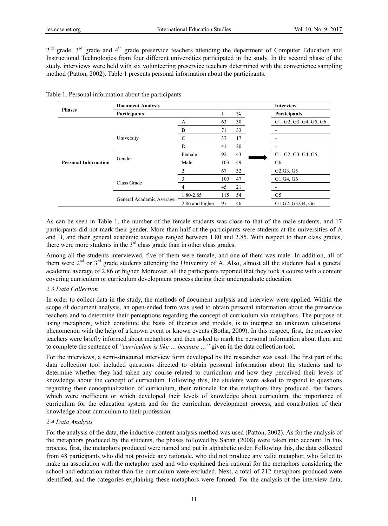2<sup>nd</sup> grade, 3<sup>rd</sup> grade and 4<sup>th</sup> grade preservice teachers attending the department of Computer Education and Instructional Technologies from four different universities participated in the study. In the second phase of the study, interviews were held with six volunteering preservice teachers determined with the convenience sampling method (Patton, 2002). Table 1 presents personal information about the participants.

|                             | <b>Document Analysis</b> | <b>Interview</b> |     |      |  |                        |
|-----------------------------|--------------------------|------------------|-----|------|--|------------------------|
| <b>Phases</b>               | Participants             |                  |     | $\%$ |  | Participants           |
|                             |                          | А                | 63  | 30   |  | G1, G2, G3, G4, G5, G6 |
|                             |                          | B                | 71  | 33   |  |                        |
|                             | University               |                  | 37  | 17   |  |                        |
| <b>Personal Information</b> |                          | D                | 41  | 20   |  |                        |
|                             |                          | Female           | 92  | 43   |  | G1, G2, G3, G4, G5,    |
|                             | Gender                   | Male             | 103 | 49   |  | G6                     |
|                             |                          | $\mathfrak{D}$   | 67  | 32   |  | G2, G3, G5             |
|                             |                          | 3                | 100 | 47   |  | G1, G4, G6             |
|                             | Class Grade              | 4                | 45  | 21   |  |                        |
|                             |                          | 1.80-2.85        | 115 | 54   |  | G <sub>5</sub>         |
|                             | General Academic Average | 2.86 and higher  | 97  | 46   |  | G1, G2, G3, G4, G6     |

| Table 1. Personal information about the participants |  |  |
|------------------------------------------------------|--|--|
|------------------------------------------------------|--|--|

As can be seen in Table 1, the number of the female students was close to that of the male students, and 17 participants did not mark their gender. More than half of the participants were students at the universities of A and B, and their general academic averages ranged between 1.80 and 2.85. With respect to their class grades, there were more students in the  $3<sup>rd</sup>$  class grade than in other class grades.

Among all the students interviewed, five of them were female, and one of them was male. In addition, all of them were  $2<sup>nd</sup>$  or  $3<sup>rd</sup>$  grade students attending the University of A. Also, almost all the students had a general academic average of 2.86 or higher. Moreover, all the participants reported that they took a course with a content covering curriculum or curriculum development process during their undergraduate education.

#### *2.3 Data Collection*

In order to collect data in the study, the methods of document analysis and interview were applied. Within the scope of document analysis, an open-ended form was used to obtain personal information about the preservice teachers and to determine their perceptions regarding the concept of curriculum via metaphors. The purpose of using metaphors, which constitute the basis of theories and models, is to interpret an unknown educational phenomenon with the help of a known event or known events (Botha, 2009). In this respect, first, the preservice teachers were briefly informed about metaphors and then asked to mark the personal information about them and to complete the sentence of *"curriculum is like … because …"* given in the data collection tool.

For the interviews, a semi-structured interview form developed by the researcher was used. The first part of the data collection tool included questions directed to obtain personal information about the students and to determine whether they had taken any course related to curriculum and how they perceived their levels of knowledge about the concept of curriculum. Following this, the students were asked to respond to questions regarding their conceptualization of curriculum, their rationale for the metaphors they produced, the factors which were inefficient or which developed their levels of knowledge about curriculum, the importance of curriculum for the education system and for the curriculum development process, and contribution of their knowledge about curriculum to their profession.

## *2.4 Data Analysis*

For the analysis of the data, the inductive content analysis method was used (Patton, 2002). As for the analysis of the metaphors produced by the students, the phases followed by Saban (2008) were taken into account. In this process, first, the metaphors produced were named and put in alphabetic order. Following this, the data collected from 48 participants who did not provide any rationale, who did not produce any valid metaphor, who failed to make an association with the metaphor used and who explained their rational for the metaphors considering the school and education rather than the curriculum were excluded. Next, a total of 212 metaphors produced were identified, and the categories explaining these metaphors were formed. For the analysis of the interview data,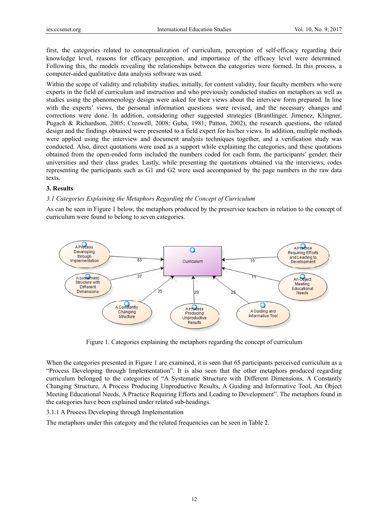first, the categories related to conceptualization of curriculum, perception of self-efficacy regarding their knowledge level, reasons for efficacy perception, and importance of the efficacy level were determined. Following this, the models revealing the relationships between the categories were formed. In this process, a computer-aided qualitative data analysis software was used.

Within the scope of validity and reliability studies, initially, for content validity, four faculty members who were experts in the field of curriculum and instruction and who previously conducted studies on metaphors as well as studies using the phenomenology design were asked for their views about the interview form prepared. In line with the experts' views, the personal information questions were revised, and the necessary changes and corrections were done. In addition, considering other suggested strategies (Brantlinger, Jimenez, Klingner, Pugach & Richardson, 2005; Creswell, 2008; Guba, 1981; Patton, 2002), the research questions, the related design and the findings obtained were presented to a field expert for his/her views. In addition, multiple methods were applied using the interview and document analysis techniques together, and a verification study was conducted. Also, direct quotations were used as a support while explaining the categories, and these quotations obtained from the open-ended form included the numbers coded for each form, the participants' gender, their universities and their class grades. Lastly, while presenting the quotations obtained via the interviews, codes representing the participants such as G1 and G2 were used accompanied by the page numbers in the raw data texts.

# **3. Results**

# 3.1 Categories Explaining the Metaphors Regarding the Concept of Curriculum

As can be seen in Figure 1 below, the metaphors produced by the preservice teachers in relation to the concept of curriculum were found to belong to seven categories.



Figure 1. Categories explaining the metaphors regarding the concept of curriculum

When the categories presented in Figure 1 are examined, it is seen that 65 participants perceived curriculum as a "Process Developing through Implementation". It is also seen that the other metaphors produced regarding curriculum belonged to the categories of "A Systematic Structure with Different Dimensions, A Constantly Changing Structure, A Process Producing Unproductive Results, A Guiding and Informative Tool, An Object Meeting Educational Needs, A Practice Requiring Efforts and Leading to Development". The metaphors found in the categories have been explained under related sub-headings.

# 3.1.1 A Process Developing through Implementation

The metaphors under this category and the related frequencies can be seen in Table 2.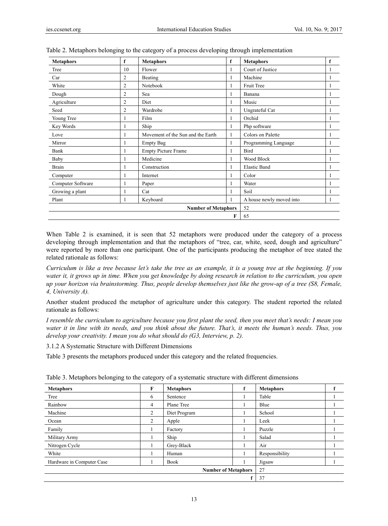| <b>Metaphors</b>  | f  | <b>Metaphors</b>                  | f | <b>Metaphors</b>         | f |
|-------------------|----|-----------------------------------|---|--------------------------|---|
| Tree              | 10 | Flower                            |   | Court of Justice         |   |
| Car               | 2  | Beating                           |   | Machine                  |   |
| White             | 2  | Notebook                          |   | Fruit Tree               |   |
| Dough             | 2  | Sea                               |   | Banana                   |   |
| Agriculture       | 2  | Diet                              |   | Music                    |   |
| Seed              | 2  | Wardrobe                          |   | Ungrateful Cat           |   |
| Young Tree        | 1  | Film                              | 1 | Orchid                   |   |
| Key Words         |    | Ship                              |   | Php software             | 1 |
| Love              | 1  | Movement of the Sun and the Earth |   | Colors on Palette        |   |
| Mirror            |    | <b>Empty Bag</b>                  |   | Programming Language     |   |
| Bank              |    | <b>Empty Picture Frame</b>        |   | <b>Bird</b>              |   |
| Baby              |    | Medicine                          |   | <b>Wood Block</b>        | 1 |
| Brain             |    | Construction                      |   | <b>Elastic Band</b>      |   |
| Computer          |    | Internet                          |   | Color                    |   |
| Computer Software |    | Paper                             |   | Water                    | 1 |
| Growing a plant   | 1  | Cat                               |   | Soil                     |   |
| Plant             | 1  | Keyboard                          |   | A house newly moved into | 1 |
|                   |    | 52                                |   |                          |   |
|                   |    |                                   | F | 65                       |   |

|  | Table 2. Metaphors belonging to the category of a process developing through implementation |  |  |  |
|--|---------------------------------------------------------------------------------------------|--|--|--|
|  |                                                                                             |  |  |  |

When Table 2 is examined, it is seen that 52 metaphors were produced under the category of a process developing through implementation and that the metaphors of "tree, car, white, seed, dough and agriculture" were reported by more than one participant. One of the participants producing the metaphor of tree stated the related rationale as follows:

*Curriculum is like a tree because let's take the tree as an example, it is a young tree at the beginning. If you water it, it grows up in time. When you get knowledge by doing research in relation to the curriculum, you open up your horizon via brainstorming. Thus, people develop themselves just like the grow-up of a tree (S8, Female, 4, University A).* 

Another student produced the metaphor of agriculture under this category. The student reported the related rationale as follows:

*I resemble the curriculum to agriculture because you first plant the seed, then you meet that's needs: I mean you water it in line with its needs, and you think about the future. That's, it meets the human's needs. Thus, you develop your creativity. I mean you do what should do (G3, Interview, p. 2).* 

3.1.2 A Systematic Structure with Different Dimensions

Table 3 presents the metaphors produced under this category and the related frequencies.

| <b>Metaphors</b>          | F  | <b>Metaphors</b><br>f |  | <b>Metaphors</b> |  |
|---------------------------|----|-----------------------|--|------------------|--|
| Tree                      | 6  | Sentence              |  | Table            |  |
| Rainbow                   | 4  | Plane Tree            |  | Blue             |  |
| Machine                   | 2  | Diet Program          |  | School           |  |
| Ocean                     | 2  | Apple                 |  | Leek             |  |
| Family                    |    | Factory               |  | Puzzle           |  |
| Military Army             |    | Ship                  |  | Salad            |  |
| Nitrogen Cycle            |    | Grey-Black            |  | Air              |  |
| White                     |    | Human                 |  | Responsibility   |  |
| Hardware in Computer Case |    | <b>Book</b>           |  | Jigsaw           |  |
|                           | 27 |                       |  |                  |  |
|                           |    |                       |  | 37               |  |

Table 3. Metaphors belonging to the category of a systematic structure with different dimensions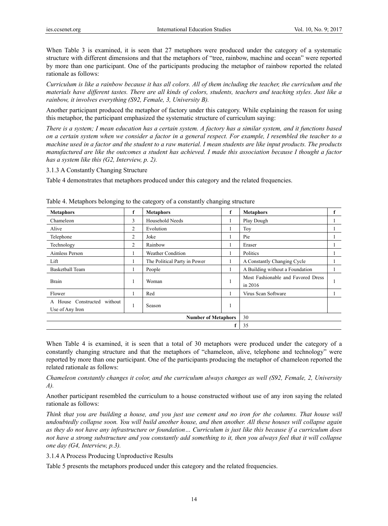When Table 3 is examined, it is seen that 27 metaphors were produced under the category of a systematic structure with different dimensions and that the metaphors of "tree, rainbow, machine and ocean" were reported by more than one participant. One of the participants producing the metaphor of rainbow reported the related rationale as follows:

*Curriculum is like a rainbow because it has all colors. All of them including the teacher, the curriculum and the materials have different tastes. There are all kinds of colors, students, teachers and teaching styles. Just like a rainbow, it involves everything (S92, Female, 3, University B).* 

Another participant produced the metaphor of factory under this category. While explaining the reason for using this metaphor, the participant emphasized the systematic structure of curriculum saying:

*There is a system; I mean education has a certain system. A factory has a similar system, and it functions based on a certain system when we consider a factor in a general respect. For example, I resembled the teacher to a machine used in a factor and the student to a raw material. I mean students are like input products. The products manufactured are like the outcomes a student has achieved. I made this association because I thought a factor has a system like this (G2, Interview, p. 2).* 

3.1.3 A Constantly Changing Structure

Table 4 demonstrates that metaphors produced under this category and the related frequencies.

| <b>Metaphors</b>                               | f                          | <b>Metaphors</b>              | f  | <b>Metaphors</b>                                | f |
|------------------------------------------------|----------------------------|-------------------------------|----|-------------------------------------------------|---|
| Chameleon                                      | 3                          | Household Needs               | 1  | Play Dough                                      |   |
| Alive                                          | 2                          | Evolution                     | 1  | Toy                                             |   |
| Telephone                                      | $\overline{c}$             | Joke                          |    | Pie                                             |   |
| Technology                                     | 2                          | Rainbow                       | 1  | Eraser                                          |   |
| Aimless Person                                 | ш                          | <b>Weather Condition</b><br>1 |    | Politics                                        |   |
| Lift                                           |                            | The Political Party in Power  | л. | A Constantly Changing Cycle                     |   |
| <b>Basketball Team</b>                         | 1                          | People                        | 1  | A Building without a Foundation                 |   |
| Brain                                          | 1                          | Woman                         | 1  | Most Fashionable and Favored Dress<br>in $2016$ |   |
| Flower                                         | 1                          | Red                           |    | Virus Scan Software                             |   |
| A House Constructed without<br>Use of Any Iron | -1                         | Season                        | 1  |                                                 |   |
|                                                | <b>Number of Metaphors</b> |                               |    |                                                 |   |
|                                                |                            |                               |    | 35                                              |   |

Table 4. Metaphors belonging to the category of a constantly changing structure

When Table 4 is examined, it is seen that a total of 30 metaphors were produced under the category of a constantly changing structure and that the metaphors of "chameleon, alive, telephone and technology" were reported by more than one participant. One of the participants producing the metaphor of chameleon reported the related rationale as follows:

*Chameleon constantly changes it color, and the curriculum always changes as well (S92, Female, 2, University A).* 

Another participant resembled the curriculum to a house constructed without use of any iron saying the related rationale as follows:

*Think that you are building a house, and you just use cement and no iron for the columns. That house will undoubtedly collapse soon. You will build another house, and then another. All these houses will collapse again as they do not have any infrastructure or foundation… Curriculum is just like this because if a curriculum does not have a strong substructure and you constantly add something to it, then you always feel that it will collapse one day (G4, Interview, p.3).* 

3.1.4 A Process Producing Unproductive Results

Table 5 presents the metaphors produced under this category and the related frequencies.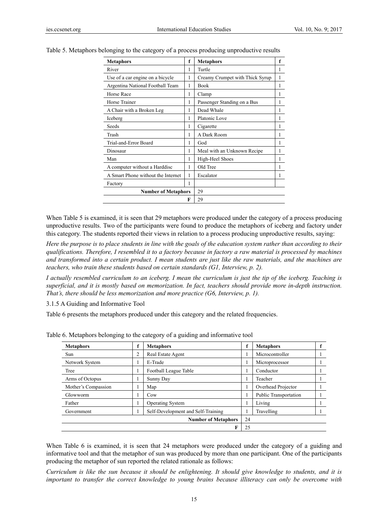| <b>Metaphors</b>                   | f | <b>Metaphors</b>                | f |  |  |
|------------------------------------|---|---------------------------------|---|--|--|
| River                              | 1 | Turtle                          | 1 |  |  |
| Use of a car engine on a bicycle   | 1 | Creamy Crumpet with Thick Syrup | 1 |  |  |
| Argentina National Football Team   | 1 | <b>Book</b>                     | 1 |  |  |
| Horse Race                         | 1 | Clamp                           | 1 |  |  |
| Horse Trainer                      | 1 | Passenger Standing on a Bus     | 1 |  |  |
| A Chair with a Broken Leg          | 1 | Dead Whale                      | 1 |  |  |
| Iceberg                            | 1 | Platonic Love                   | 1 |  |  |
| Seeds                              | 1 | Cigarette                       | 1 |  |  |
| Trash                              | 1 | A Dark Room                     | 1 |  |  |
| Trial-and-Error Board              | 1 | God                             | 1 |  |  |
| Dinosaur                           | 1 | Meal with an Unknown Recipe     | 1 |  |  |
| Man                                | 1 | High-Heel Shoes                 | 1 |  |  |
| A computer without a Harddisc      | 1 | Old Tree                        | 1 |  |  |
| A Smart Phone without the Internet | 1 | Escalator                       | 1 |  |  |
| Factory                            | 1 |                                 |   |  |  |
| <b>Number of Metaphors</b>         |   | 29                              |   |  |  |
|                                    | F | 29                              |   |  |  |

Table 5. Metaphors belonging to the category of a process producing unproductive results

When Table 5 is examined, it is seen that 29 metaphors were produced under the category of a process producing unproductive results. Two of the participants were found to produce the metaphors of iceberg and factory under this category. The students reported their views in relation to a process producing unproductive results, saying:

*Here the purpose is to place students in line with the goals of the education system rather than according to their qualifications. Therefore, I resembled it to a factory because in factory a raw material is processed by machines and transformed into a certain product. I mean students are just like the raw materials, and the machines are teachers, who train these students based on certain standards (G1, Interview, p. 2).* 

*I actually resembled curriculum to an iceberg. I mean the curriculum is just the tip of the iceberg. Teaching is superficial, and it is mostly based on memorization. In fact, teachers should provide more in-depth instruction. That's, there should be less memorization and more practice (G6, Interview, p. 1).* 

3.1.5 A Guiding and Informative Tool

Table 6 presents the metaphors produced under this category and the related frequencies.

| <b>Metaphors</b>    |    | <b>Metaphors</b>                   | f  | <b>Metaphors</b>      |  |
|---------------------|----|------------------------------------|----|-----------------------|--|
| Sun                 |    | Real Estate Agent                  |    | Microcontroller       |  |
| Network System      |    | E-Trade                            |    | Microprocessor        |  |
| Tree                |    | Football League Table              |    | Conductor             |  |
| Arms of Octopus     |    | Sunny Day                          | -1 | Teacher               |  |
| Mother's Compassion |    | Map                                | 1  | Overhead Projector    |  |
| Glowworm            |    | Cow                                |    | Public Transportation |  |
| Father              |    | <b>Operating System</b>            | -1 | Living                |  |
| Government          |    | Self-Development and Self-Training |    | Travelling            |  |
|                     | 24 |                                    |    |                       |  |
| F                   |    |                                    |    |                       |  |

Table 6. Metaphors belonging to the category of a guiding and informative tool

When Table 6 is examined, it is seen that 24 metaphors were produced under the category of a guiding and informative tool and that the metaphor of sun was produced by more than one participant. One of the participants producing the metaphor of sun reported the related rationale as follows:

*Curriculum is like the sun because it should be enlightening. It should give knowledge to students, and it is important to transfer the correct knowledge to young brains because illiteracy can only be overcome with*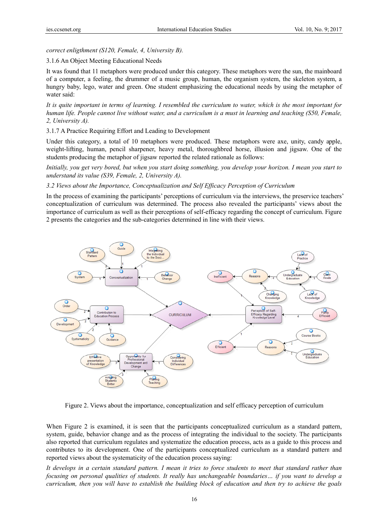#### *correct enl ligthment (S12 20, Female, 4, University B).*

#### 3.1.6 An O Object Meeting g Educational N Needs

It was found that 11 metaphors were produced under this category. These metaphors were the sun, the mainboard of a computer, a feeling, the drummer of a music group, human, the organism system, the skeleton system, a hungry baby, lego, water and green. One student emphasizing the educational needs by using the metaphor of water said:

It is quite important in terms of learning. I resembled the curriculum to water, which is the most important for *human life. People cannot live without water, and a curriculum is a must in learning and teaching (S50, Female,* 2, University A).

#### 3.1.7 A Practice Requiring Effort and Leading to Development

Under this category, a total of 10 metaphors were produced. These metaphors were axe, unity, candy apple, weight-lifting, human, pencil sharpener, heavy metal, thoroughbred horse, illusion and jigsaw. One of the students producing the metaphor of jigsaw reported the related rationale as follows:

Initially, you get very bored, but when you start doing something, you develop your horizon. I mean you start to *understand its value (S39, Female, 2, University A).* 

#### 3.2 Views about the Importance, Conceptualization and Self Efficacy Perception of Curriculum

In the process of examining the participants' perceptions of curriculum via the interviews, the preservice teachers' conceptualization of curriculum was determined. The process also revealed the participants' views about the importance of curriculum as well as their perceptions of self-efficacy regarding the concept of curriculum. Figure 2 presents the categories and the sub-categories determined in line with their views.



Figure 2. Views about the importance, conceptualization and self efficacy perception of curriculum

When Figure 2 is examined, it is seen that the participants conceptualized curriculum as a standard pattern, system, guide, behavior change and as the process of integrating the individual to the society. The participants also reported that curriculum regulates and systematize the education process, acts as a guide to this process and contributes to its development. One of the participants conceptualized curriculum as a standard pattern and reported views about the systematicity of the education process saying:

It develops in a certain standard pattern. I mean it tries to force students to meet that standard rather than *focusing on personal qualities of students. It really has unchangeable boundaries... if you want to develop a curriculum, then you will have to establish the building block of education and then try to achieve the goals*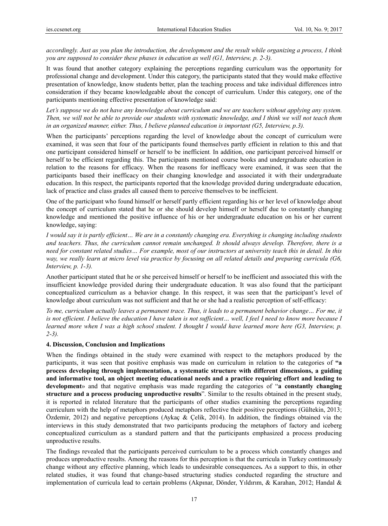*accordingly. Just as you plan the introduction, the development and the result while organizing a process, I think you are supposed to consider these phases in education as well (G1, Interview, p. 2-3).* 

It was found that another category explaining the perceptions regarding curriculum was the opportunity for professional change and development. Under this category, the participants stated that they would make effective presentation of knowledge, know students better, plan the teaching process and take individual differences intro consideration if they became knowledgeable about the concept of curriculum. Under this category, one of the participants mentioning effective presentation of knowledge said:

Let's suppose we do not have any knowledge about curriculum and we are teachers without applying any system. *Then, we will not be able to provide our students with systematic knowledge, and I think we will not teach them in an organized manner, either. Thus, I believe planned education is important (G5, Interview, p.3).* 

When the participants' perceptions regarding the level of knowledge about the concept of curriculum were examined, it was seen that four of the participants found themselves partly efficient in relation to this and that one participant considered himself or herself to be inefficient. In addition, one participant perceived himself or herself to be efficient regarding this. The participants mentioned course books and undergraduate education in relation to the reasons for efficacy. When the reasons for inefficacy were examined, it was seen that the participants based their inefficacy on their changing knowledge and associated it with their undergraduate education. In this respect, the participants reported that the knowledge provided during undergraduate education, lack of practice and class grades all caused them to perceive themselves to be inefficient.

One of the participant who found himself or herself partly efficient regarding his or her level of knowledge about the concept of curriculum stated that he or she should develop himself or herself due to constantly changing knowledge and mentioned the positive influence of his or her undergraduate education on his or her current knowledge, saying:

*I would say it is partly efficient… We are in a constantly changing era. Everything is changing including students and teachers. Thus, the curriculum cannot remain unchanged. It should always develop. Therefore, there is a need for constant related studies… For example, most of our instructors at university teach this in detail. In this way, we really learn at micro level via practice by focusing on all related details and preparing curricula (G6, Interview, p. 1-3).* 

Another participant stated that he or she perceived himself or herself to be inefficient and associated this with the insufficient knowledge provided during their undergraduate education. It was also found that the participant conceptualized curriculum as a behavior change. In this respect, it was seen that the participant's level of knowledge about curriculum was not sufficient and that he or she had a realistic perception of self-efficacy:

*To me, curriculum actually leaves a permanent trace. Thus, it leads to a permanent behavior change… For me, it is not efficient. I believe the education I have taken is not sufficient... well, I feel I need to know more because I learned more when I was a high school student. I thought I would have learned more here (G3, Interview, p. 2-3).* 

#### **4. Discussion, Conclusion and Implications**

When the findings obtained in the study were examined with respect to the metaphors produced by the participants, it was seen that positive emphasis was made on curriculum in relation to the categories of **"a process developing through implementation, a systematic structure with different dimensions, a guiding and informative tool, an object meeting educational needs and a practice requiring effort and leading to development**» and that negative emphasis was made regarding the categories of "**a constantly changing structure and a process producing unproductive results**". Similar to the results obtained in the present study, it is reported in related literature that the participants of other studies examining the perceptions regarding curriculum with the help of metaphors produced metaphors reflective their positive perceptions (Gültekin, 2013; Özdemir, 2012) and negative perceptions (Aykaç & Çelik, 2014). In addition, the findings obtained via the interviews in this study demonstrated that two participants producing the metaphors of factory and iceberg conceptualized curriculum as a standard pattern and that the participants emphasized a process producing unproductive results.

The findings revealed that the participants perceived curriculum to be a process which constantly changes and produces unproductive results. Among the reasons for this perception is that the curricula in Turkey continuously change without any effective planning, which leads to undesirable consequences**.** As a support to this, in other related studies, it was found that change-based structuring studies conducted regarding the structure and implementation of curricula lead to certain problems (Akpınar, Dönder, Yıldırım, & Karahan, 2012; Handal &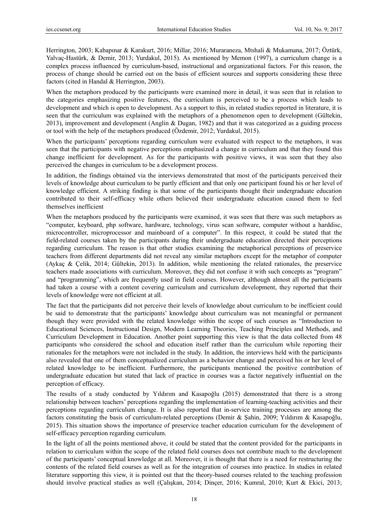Herrington, 2003; Kabapınar & Karakurt, 2016; Millar, 2016; Muraraneza, Mtshali & Mukamana, 2017; Öztürk, Yalvaç-Hastürk, & Demir, 2013; Yurdakul, 2015). As mentioned by Memon (1997), a curriculum change is a complex process influenced by curriculum-based, instructional and organizational factors. For this reason, the process of change should be carried out on the basis of efficient sources and supports considering these three factors (cited in Handal & Herrington, 2003).

When the metaphors produced by the participants were examined more in detail, it was seen that in relation to the categories emphasizing positive features, the curriculum is perceived to be a process which leads to development and which is open to development. As a support to this, in related studies reported in literature, it is seen that the curriculum was explained with the metaphors of a phenomenon open to development (Gültekin, 2013), improvement and development (Anglin & Dugan, 1982) and that it was categorized as a guiding process or tool with the help of the metaphors produced (Özdemir, 2012; Yurdakul, 2015).

When the participants' perceptions regarding curriculum were evaluated with respect to the metaphors, it was seen that the participants with negative perceptions emphasized a change in curriculum and that they found this change inefficient for development. As for the participants with positive views, it was seen that they also perceived the changes in curriculum to be a development process.

In addition, the findings obtained via the interviews demonstrated that most of the participants perceived their levels of knowledge about curriculum to be partly efficient and that only one participant found his or her level of knowledge efficient. A striking finding is that some of the participants thought their undergraduate education contributed to their self-efficacy while others believed their undergraduate education caused them to feel themselves inefficient

When the metaphors produced by the participants were examined, it was seen that there was such metaphors as "computer, keyboard, php software, hardware, technology, virus scan software, computer without a harddisc, microcontroller, microprocessor and mainboard of a computer". In this respect, it could be stated that the field-related courses taken by the participants during their undergraduate education directed their perceptions regarding curriculum. The reason is that other studies examining the metaphorical perceptions of preservice teachers from different departments did not reveal any similar metaphors except for the metaphor of computer (Aykaç & Çelik, 2014; Gültekin, 2013). In addition, while mentioning the related rationales, the preservice teachers made associations with curriculum. Moreover, they did not confuse it with such concepts as "program" and "programming", which are frequently used in field courses. However, although almost all the participants had taken a course with a content covering curriculum and curriculum development, they reported that their levels of knowledge were not efficient at all.

The fact that the participants did not perceive their levels of knowledge about curriculum to be inefficient could be said to demonstrate that the participants' knowledge about curriculum was not meaningful or permanent though they were provided with the related knowledge within the scope of such courses as "Introduction to Educational Sciences, Instructional Design, Modern Learning Theories, Teaching Principles and Methods, and Curriculum Development in Education. Another point supporting this view is that the data collected from 48 participants who considered the school and education itself rather than the curriculum while reporting their rationales for the metaphors were not included in the study. In addition, the interviews held with the participants also revealed that one of them conceptualized curriculum as a behavior change and perceived his or her level of related knowledge to be inefficient. Furthermore, the participants mentioned the positive contribution of undergraduate education but stated that lack of practice in courses was a factor negatively influential on the perception of efficacy.

The results of a study conducted by Yıldırım and Kasapoğlu (2015) demonstrated that there is a strong relationship between teachers' perceptions regarding the implementation of learning-teaching activities and their perceptions regarding curriculum change. It is also reported that in-service training processes are among the factors constituting the basis of curriculum-related perceptions (Demir & Şahin, 2009; Yıldırım & Kasapoğlu, 2015). This situation shows the importance of preservice teacher education curriculum for the development of self-efficacy perception regarding curriculum.

In the light of all the points mentioned above, it could be stated that the content provided for the participants in relation to curriculum within the scope of the related field courses does not contribute much to the development of the participants' conceptual knowledge at all. Moreover, it is thought that there is a need for restructuring the contents of the related field courses as well as for the integration of courses into practice. In studies in related literature supporting this view, it is pointed out that the theory-based courses related to the teaching profession should involve practical studies as well (Çalışkan, 2014; Dinçer, 2016; Kumral, 2010; Kurt & Ekici, 2013;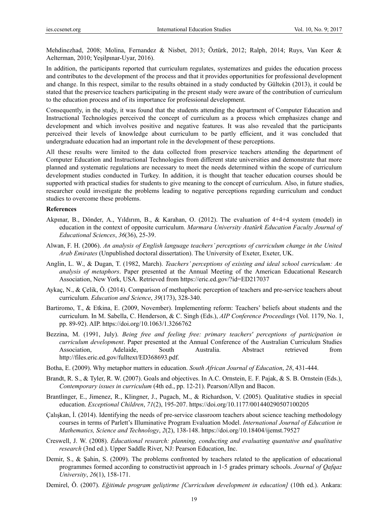Mehdinezhad, 2008; Molina, Fernandez & Nisbet, 2013; Öztürk, 2012; Ralph, 2014; Ruys, Van Keer & Aelterman, 2010; Yeşilpınar-Uyar, 2016).

In addition, the participants reported that curriculum regulates, systematizes and guides the education process and contributes to the development of the process and that it provides opportunities for professional development and change. In this respect, similar to the results obtained in a study conducted by Gültekin (2013), it could be stated that the preservice teachers participating in the present study were aware of the contribution of curriculum to the education process and of its importance for professional development.

Consequently, in the study, it was found that the students attending the department of Computer Education and Instructional Technologies perceived the concept of curriculum as a process which emphasizes change and development and which involves positive and negative features. It was also revealed that the participants perceived their levels of knowledge about curriculum to be partly efficient, and it was concluded that undergraduate education had an important role in the development of these perceptions.

All these results were limited to the data collected from preservice teachers attending the department of Computer Education and Instructional Technologies from different state universities and demonstrate that more planned and systematic regulations are necessary to meet the needs determined within the scope of curriculum development studies conducted in Turkey. In addition, it is thought that teacher education courses should be supported with practical studies for students to give meaning to the concept of curriculum. Also, in future studies, researcher could investigate the problems leading to negative perceptions regarding curriculum and conduct studies to overcome these problems.

#### **References**

- Akpınar, B., Dönder, A., Yıldırım, B., & Karahan, O. (2012). The evaluation of 4+4+4 system (model) in education in the context of opposite curriculum. *Marmara University Atatürk Education Faculty Journal of Educational Sciences*, *36*(36), 25-39.
- Alwan, F. H. (2006). *An analysis of English language teachers' perceptions of curriculum change in the United Arab Emirates* (Unpublished doctoral dissertation). The University of Exeter, Exeter, UK.
- Anglin, L. W., & Dugan, T. (1982, March). *Teachers' perceptions of existing and ideal school curriculum: An analysis of metaphors*. Paper presented at the Annual Meeting of the American Educational Research Association, New York, USA. Retrieved from https://eric.ed.gov/?id=ED217037
- Aykaç, N., & Çelik, Ö. (2014). Comparison of methaphoric perception of teachers and pre-service teachers about curriculum. *Education and Science*, *39*(173), 328-340.
- Bartiromo, T., & Etkina, E. (2009, November). Implementing reform: Teachers' beliefs about students and the curriculum. In M. Sabella, C. Henderson, & C. Singh (Eds.), *AIP Conference Proceedings* (Vol. 1179, No. 1, pp. 89-92). AIP. https://doi.org/10.1063/1.3266762
- Bezzina, M. (1991, July). *Being free and feeling free: primary teachers' perceptions of participation in curriculum development*. Paper presented at the Annual Conference of the Australian Curriculum Studies Association, Adelaide, South Australia. Abstract retrieved from http://files.eric.ed.gov/fulltext/ED368693.pdf.
- Botha, E. (2009). Why metaphor matters in education. *South African Journal of Education*, *28*, 431-444.
- Brandt, R. S., & Tyler, R. W. (2007). Goals and objectives. In A.C. Ornstein, E. F. Pajak, & S. B. Ornstein (Eds.), *Contemporary issues in curriculum* (4th ed., pp. 12-21). Pearson/Allyn and Bacon.
- Brantlinger, E., Jimenez, R., Klingner, J., Pugach, M., & Richardson, V. (2005). Qualitative studies in special education. *Exceptional Children*, *71*(2), 195-207. https://doi.org/10.1177/001440290507100205
- Çalışkan, İ. (2014). Identifying the needs of pre-service classroom teachers about science teaching methodology courses in terms of Parlett's Illuminative Program Evaluation Model. *International Journal of Education in Mathematics, Science and Technology*, *2*(2), 138-148. https://doi.org/10.18404/ijemst.79527
- Creswell, J. W. (2008). *Educational research: planning, conducting and evaluating quantative and qualitative research* (3nd ed.). Upper Saddle River, NJ: Pearson Education, Inc.
- Demir, S., & Şahin, S. (2009). The problems confronted by teachers related to the application of educational programmes formed according to constructivist approach in 1‐5 grades primary schools. *Journal of Qafqaz University*, *26*(1), 158-171.
- Demirel, Ö. (2007). *Eğitimde program geliştirme [Curriculum development in education]* (10th ed.). Ankara: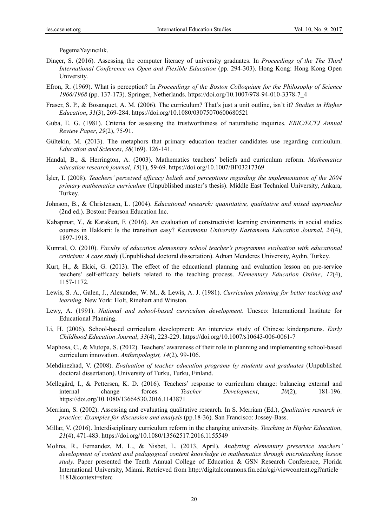PegemaYayıncılık.

- Dinçer, S. (2016). Assessing the computer literacy of university graduates. In *Proceedings of the The Third International Conference on Open and Flexible Education* (pp. 294-303). Hong Kong: Hong Kong Open University.
- Efron, R. (1969). What is perception? In *Proceedings of the Boston Colloquium for the Philosophy of Science 1966/1968* (pp. 137-173). Springer, Netherlands. https://doi.org/10.1007/978-94-010-3378-7\_4
- Fraser, S. P., & Bosanquet, A. M. (2006). The curriculum? That's just a unit outline, isn't it? *Studies in Higher Education*, *31*(3), 269-284. https://doi.org/10.1080/03075070600680521
- Guba, E. G. (1981). Criteria for assessing the trustworthiness of naturalistic inquiries. *ERIC/ECTJ Annual Review Paper*, *29*(2), 75-91.
- Gültekin, M. (2013). The metaphors that primary education teacher candidates use regarding curriculum. *Education and Sciences*, *38*(169). 126-141.
- Handal, B., & Herrington, A. (2003). Mathematics teachers' beliefs and curriculum reform. *Mathematics education research journal*, *15*(1), 59-69. https://doi.org/10.1007/BF03217369
- İşler, I. (2008). *Teachers' perceived efficacy beliefs and perceptions regarding the implementation of the 2004 primary mathematics curriculum* (Unpublished master's thesis). Middle East Technical University, Ankara, Turkey.
- Johnson, B., & Christensen, L. (2004). *Educational research: quantitative, qualitative and mixed approaches*  (2nd ed.). Boston: Pearson Education Inc.
- Kabapınar, Y., & Karakurt, F. (2016). An evaluation of constructivist learning environments in social studies courses in Hakkari: Is the transition easy? *Kastamonu University Kastamonu Education Journal*, *24*(4), 1897-1918.
- Kumral, O. (2010). *Faculty of education elementary school teacher's programme evaluation with educational criticism: A case study* (Unpublished doctoral dissertation). Adnan Menderes University, Aydın, Turkey.
- Kurt, H., & Ekici, G. (2013). The effect of the educational planning and evaluation lesson on pre-service teachers' self-efficacy beliefs related to the teaching process. *Elementary Education Online*, *12*(4), 1157-1172.
- Lewis, S. A., Galen, J., Alexander, W. M., & Lewis, A. J. (1981). *Curriculum planning for better teaching and learning*. New York: Holt, Rinehart and Winston.
- Lewy, A. (1991). *National and school-based curriculum development*. Unesco: International Institute for Educational Planning.
- Li, H. (2006). School-based curriculum development: An interview study of Chinese kindergartens. *Early Childhood Education Journal*, *33*(4), 223-229. https://doi.org/10.1007/s10643-006-0061-7
- Maphosa, C., & Mutopa, S. (2012). Teachers' awareness of their role in planning and implementing school-based curriculum innovation. *Anthropologist, 14*(2), 99-106.
- Mehdinezhad, V. (2008). *Evaluation of teacher education programs by students and graduates* (Unpublished doctoral dissertation). University of Turku, Turku, Finland.
- Mellegård, I., & Pettersen, K. D. (2016). Teachers' response to curriculum change: balancing external and internal change forces. *Teacher Development*, *20*(2), 181-196. https://doi.org/10.1080/13664530.2016.1143871
- Merriam, S. (2002). Assessing and evaluating qualitative research. In S. Merriam (Ed.), *Qualitative research in practice: Examples for discussion and analysis* (pp.18-36). San Francisco: Jossey-Bass.
- Millar, V. (2016). Interdisciplinary curriculum reform in the changing university. *Teaching in Higher Education*, *21*(4), 471-483. https://doi.org/10.1080/13562517.2016.1155549
- Molina, R., Fernandez, M. L., & Nisbet, L. (2013, April). *Analyzing elementary preservice teachers' development of content and pedagogical content knowledge in mathematics through microteaching lesson study*. Paper presented the Tenth Annual College of Education & GSN Research Conference, Florida International University, Miami. Retrieved from http://digitalcommons.fiu.edu/cgi/viewcontent.cgi?article= 1181&context=sferc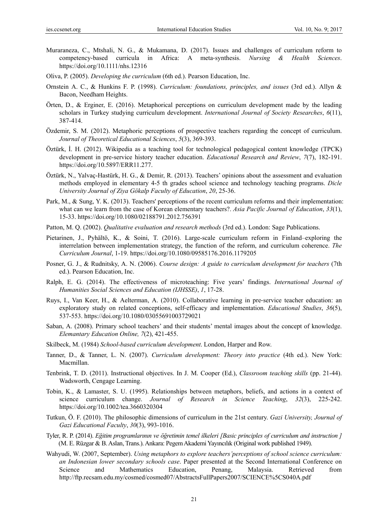- Muraraneza, C., Mtshali, N. G., & Mukamana, D. (2017). Issues and challenges of curriculum reform to competency‐based curricula in Africa: A meta‐synthesis. *Nursing & Health Sciences*. https://doi.org/10.1111/nhs.12316
- Oliva, P. (2005). *Developing the curriculum* (6th ed.). Pearson Education, Inc.
- Ornstein A. C., & Hunkins F. P. (1998). *Curriculum: foundations, principles, and issues* (3rd ed.). Allyn & Bacon, Needham Heights.
- Örten, D., & Erginer, E. (2016). Metaphorical perceptions on curriculum development made by the leading scholars in Turkey studying curriculum development. *International Journal of Society Researches*, *6*(11), 387-414.
- Özdemir, S. M. (2012). Metaphoric perceptions of prospective teachers regarding the concept of curriculum. *Journal of Theoretical Educational Sciences*, *5*(3), 369-393.
- Öztürk, İ. H. (2012). Wikipedia as a teaching tool for technological pedagogical content knowledge (TPCK) development in pre-service history teacher education. *Educational Research and Review*, *7*(7), 182-191. https://doi.org/10.5897/ERR11.277.
- Öztürk, N., Yalvaç-Hastürk, H. G., & Demir, R. (2013). Teachers' opinions about the assessment and evaluation methods employed in elementary 4-5 th grades school science and technology teaching programs. *Dicle University Journal of Ziya Gökalp Faculty of Education*, *20*, 25-36.
- Park, M., & Sung, Y. K. (2013). Teachers' perceptions of the recent curriculum reforms and their implementation: what can we learn from the case of Korean elementary teachers?. *Asia Pacific Journal of Education*, *33*(1), 15-33. https://doi.org/10.1080/02188791.2012.756391
- Patton, M. Q. (2002). *Qualitative evaluation and research methods* (3rd ed.). London: Sage Publications.
- Pietarinen, J., Pyhältö, K., & Soini, T. (2016). Large-scale curriculum reform in Finland–exploring the interrelation between implementation strategy, the function of the reform, and curriculum coherence. *The Curriculum Journal*, 1-19. https://doi.org/10.1080/09585176.2016.1179205
- Posner, G. J., & Rudnitsky, A. N. (2006). *Course design: A guide to curriculum development for teachers* (7th ed.). Pearson Education, Inc.
- Ralph, E. G. (2014). The effectiveness of microteaching: Five years' findings. *International Journal of Humanities Social Sciences and Education (IJHSSE)*, *1*, 17-28.
- Ruys, I., Van Keer, H., & Aelterman, A. (2010). Collaborative learning in pre‐service teacher education: an exploratory study on related conceptions, self‐efficacy and implementation. *Educational Studies*, *36*(5), 537-553. https://doi.org/10.1080/03055691003729021
- Saban, A. (2008). Primary school teachers' and their students' mental images about the concept of knowledge. *Elemantary Education Online, 7*(2), 421-455.
- Skilbeck, M. (1984) *School-based curriculum development*. London, Harper and Row.
- Tanner, D., & Tanner, L. N. (2007). *Curriculum development: Theory into practice* (4th ed.). New York: Macmillan.
- Tenbrink, T. D. (2011). Instructional objectives. In J. M. Cooper (Ed.), *Classroom teaching skills* (pp. 21-44). Wadsworth, Cengage Learning.
- Tobin, K., & Lamaster, S. U. (1995). Relationships between metaphors, beliefs, and actions in a context of science curriculum change. *Journal of Research in Science Teaching*, *32*(3), 225-242. https://doi.org/10.1002/tea.3660320304
- Tutkun, Ö. F. (2010). The philosophic dimensions of curriculum in the 21st century. *Gazi University, Journal of Gazi Educational Faculty*, *30*(3), 993-1016.
- Tyler, R. P. (2014). *Eğitim programlarının ve öğretimin temel ilkeleri [Basic principles of curriculum and instruction ]*  (M. E. Rüzgar & B. Aslan, Trans.). Ankara: Pegem Akademi Yayıncılık (Original work published 1949).
- Wahyudi, W. (2007, September). *Using metaphors to explore teachers'perceptions of school science curriculum: an Indonesian lower secondary schools case*. Paper presented at the Second International Conference on Science and Mathematics Education, Penang, Malaysia. Retrieved from http://ftp.recsam.edu.my/cosmed/cosmed07/AbstractsFullPapers2007/SCIENCE%5CS040A.pdf